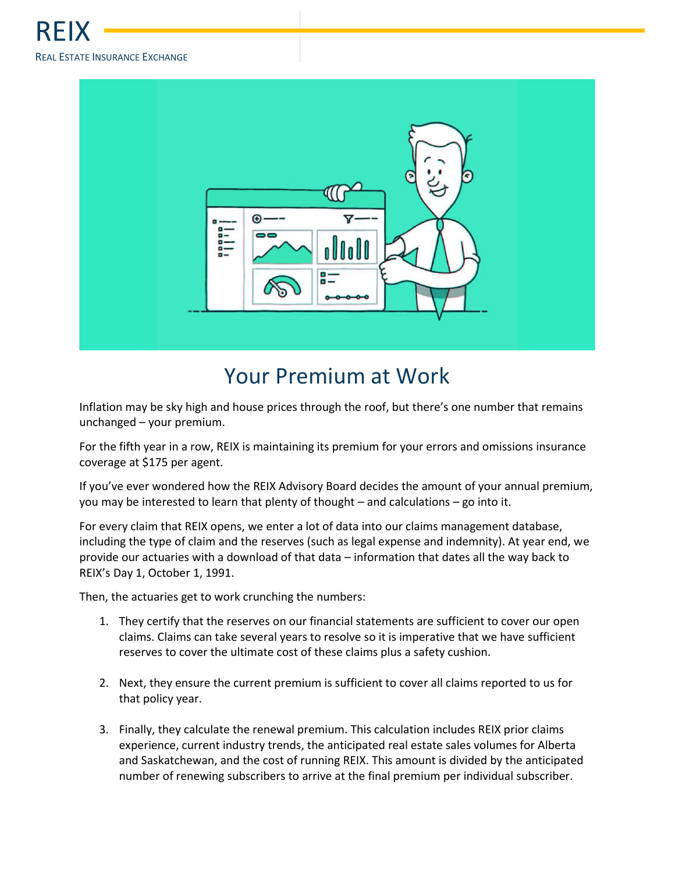

## Your Premium at Work

Inflation may be sky high and house prices through the roof, but there's one number that remains unchanged – your premium.

For the fifth year in a row, REIX is maintaining its premium for your errors and omissions insurance coverage at \$175 per agent.

If you've ever wondered how the REIX Advisory Board decides the amount of your annual premium, you may be interested to learn that plenty of thought – and calculations – go into it.

For every claim that REIX opens, we enter a lot of data into our claims management database, including the type of claim and the reserves (such as legal expense and indemnity). At year end, we provide our actuaries with a download of that data – information that dates all the way back to REIX's Day 1, October 1, 1991.

Then, the actuaries get to work crunching the numbers:

- 1. They certify that the reserves on our financial statements are sufficient to cover our open claims. Claims can take several years to resolve so it is imperative that we have sufficient reserves to cover the ultimate cost of these claims plus a safety cushion.
- 2. Next, they ensure the current premium is sufficient to cover all claims reported to us for that policy year.
- 3. Finally, they calculate the renewal premium. This calculation includes REIX prior claims experience, current industry trends, the anticipated real estate sales volumes for Alberta and Saskatchewan, and the cost of running REIX. This amount is divided by the anticipated number of renewing subscribers to arrive at the final premium per individual subscriber.